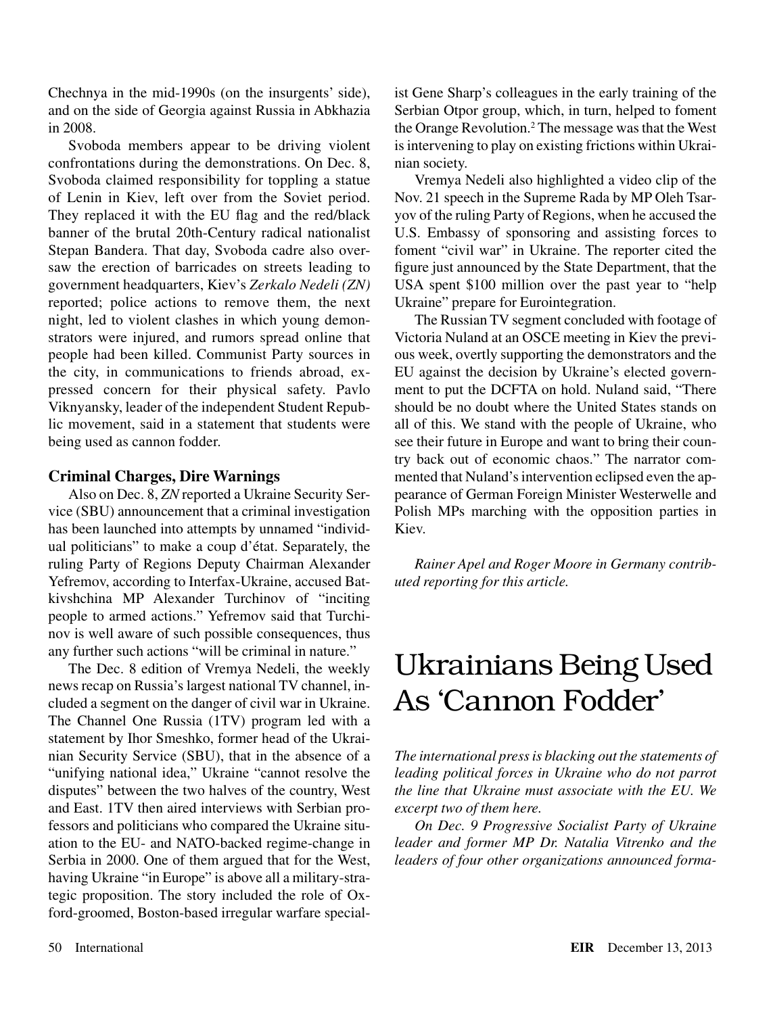## Ukrainians Being Used As 'Cannon Fodder'

*The international press is blacking out the statements of leading political forces in Ukraine who do not parrot the line that Ukraine must associate with the EU. We excerpt two of them here.*

*On Dec. 9 Progressive Socialist Party of Ukraine leader and former MP Dr. Natalia Vitrenko and the leaders of four other organizations announced forma-*

## **EIR** December 13, 2013